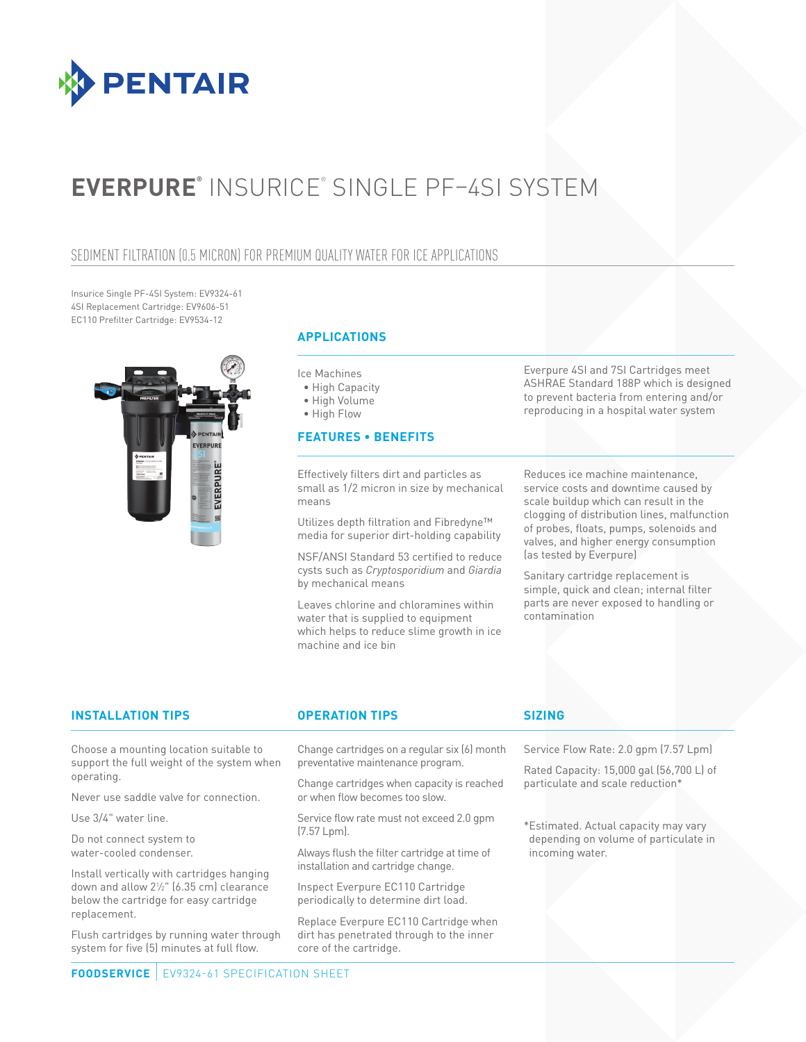

# **EVERPURE®** INSURICE® SINGLE PF–4SI SYSTEM

### SEDIMENT FILTRATION (0.5 MICRON) FOR PREMIUM QUALITY WATER FOR ICE APPLICATIONS

Insurice Single PF-4SI System: EV9324-61 4SI Replacement Cartridge: EV9606-51 EC110 Prefilter Cartridge: EV9534-12



### **APPLICATIONS**

Ice Machines

- High Capacity
- High Volume

• High Flow

### **FEATURES • BENEFITS**

Effectively filters dirt and particles as small as 1/2 micron in size by mechanical means

Utilizes depth filtration and Fibredyne™ media for superior dirt-holding capability

NSF/ANSI Standard 53 certified to reduce cysts such as *Cryptosporidium* and *Giardia*  by mechanical means

Leaves chlorine and chloramines within water that is supplied to equipment which helps to reduce slime growth in ice machine and ice bin

Everpure 4SI and 7SI Cartridges meet ASHRAE Standard 188P which is designed to prevent bacteria from entering and/or reproducing in a hospital water system

Reduces ice machine maintenance, service costs and downtime caused by scale buildup which can result in the clogging of distribution lines, malfunction of probes, floats, pumps, solenoids and valves, and higher energy consumption (as tested by Everpure)

Sanitary cartridge replacement is simple, quick and clean; internal filter parts are never exposed to handling or contamination

### **INSTALLATION TIPS OPERATION TIPS SIZING**

Choose a mounting location suitable to support the full weight of the system when operating.

Never use saddle valve for connection.

Use 3/4" water line.

Do not connect system to water-cooled condenser.

Install vertically with cartridges hanging down and allow 21 ⁄2" (6.35 cm) clearance below the cartridge for easy cartridge replacement.

Flush cartridges by running water through system for five (5) minutes at full flow.

Change cartridges on a regular six (6) month preventative maintenance program.

Change cartridges when capacity is reached or when flow becomes too slow.

Service flow rate must not exceed 2.0 gpm (7.57 Lpm).

Always flush the filter cartridge at time of installation and cartridge change.

Inspect Everpure EC110 Cartridge periodically to determine dirt load.

Replace Everpure EC110 Cartridge when dirt has penetrated through to the inner core of the cartridge.

Service Flow Rate: 2.0 gpm (7.57 Lpm)

Rated Capacity: 15,000 gal (56,700 L) of particulate and scale reduction\*

\*Estimated. Actual capacity may vary depending on volume of particulate in incoming water.